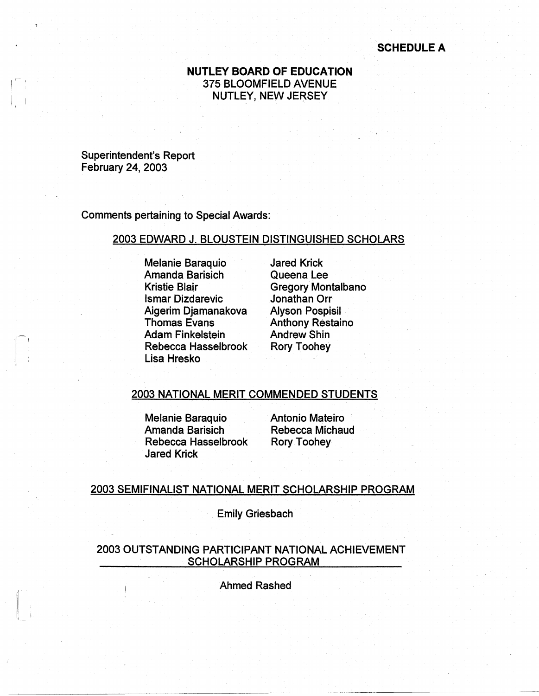### **SCHEDULE A**

## **NUTLEY BOARD OF EDUCATION**  375 BLOOMFIELD AVENUE NUTLEY, NEW JERSEY

Superintendent's Report February 24, 2003

 $\sqrt{2}$ 

 $\vert$ , I,

Comments pertaining to Special Awards:

### 2003 EDWARD J. BLOUSTEIN DISTINGUISHED SCHOLARS

Melanie Baraquio Amanda Barisich Kristie Blair lsmar Dizdarevic Aigerim Djamanakova Thomas Evans Adam Finkelstein Rebecca Hasselbrook Lisa Hresko

Jared Krick Queena Lee Gregory Montalbano Jonathan Orr Alyson Pospisil **Anthony Restaino** Andrew Shin Rory Toohey

#### 2003 NATIONAL MERIT COMMENDED STUDENTS

Melanie Baraquio Amanda Barisich Rebecca Hasselbrook Jared Krick

Antonio Mateiro Rebecca Michaud Rory Toohey

#### 2003 SEMIFINALIST NATIONAL MERIT SCHOLARSHIP PROGRAM

. Emily Griesbach

2003 OUTSTANDING PARTICIPANT NATIONAL ACHIEVEMENT SCHOLARSHIP PROGRAM

Ahmed Rashed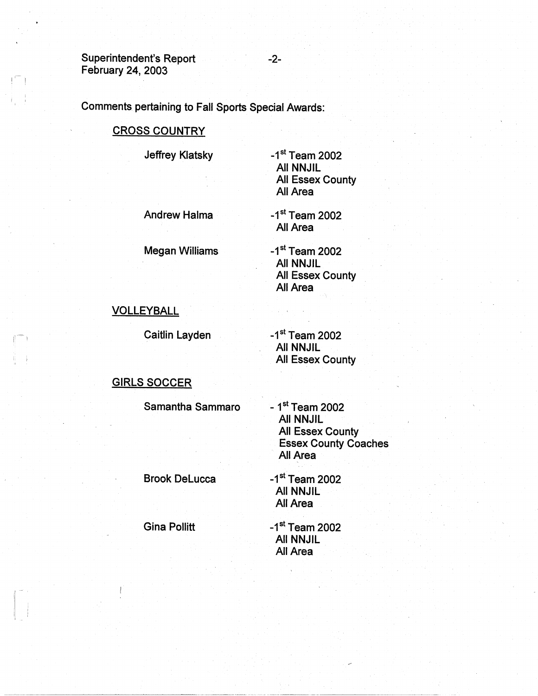Superintendent's Report February 24, 2003

 $\mathbf{I}$  is a set of  $\mathbf{I}$ 

 $\vert \top \rangle$ 

II ; I

Comments pertaining to Fall Sports Special Awards:

# CROSS COUNTRY

Jeffrey Klatsky

 $-1$ <sup>st</sup> Team 2002 All NNJIL All Essex County All Area

Andrew Halma

 $-1<sup>st</sup>$  Team 2002 All Area

Megan Williams

 $-1$ <sup>st</sup> Team 2002 All NNJIL All Essex County All Area

# VOLLEYBALL

Caitlin Layden

 $-1$ <sup>st</sup> Team 2002 All NNJIL All Essex County

# GIRLS SOCCER

Samantha Sammaro

 $-1$ <sup>st</sup> Team 2002 All NNJIL All Essex County Essex County Coaches All Area

Brook Delucca

 $-1$ <sup>st</sup> Team 2002 All NNJIL All Area

 $-1$ <sup>st</sup> Team 2002 All NNJIL All Area

Gina Pollitt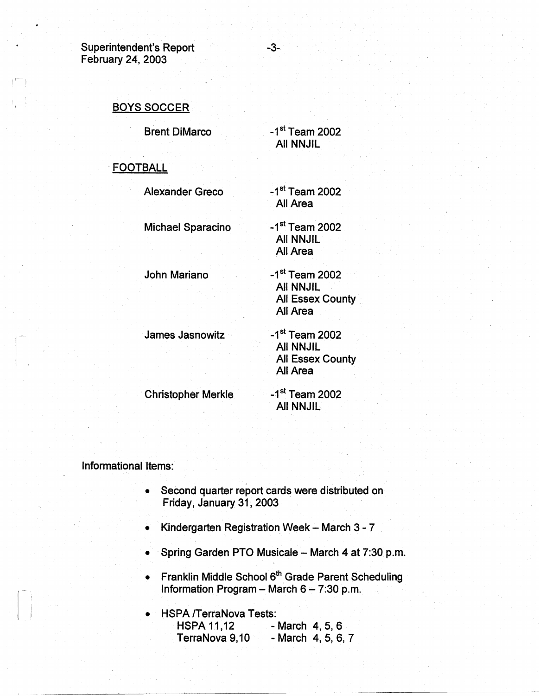Superintendent's Report **-3-**February 24, 2003

I')

# BOYS SOCCER

Brent DiMarco -1<sup>st</sup> Team 2002

**FOOTBALL** 

Alexander Greco -1<sup>st</sup> Team 2002

Michael Sparacino -1<sup>st</sup> Team 2002 All NNJIL

All NNJIL

All Area

All Area

John Mariano -1st Team 2002 · All NNJIL All Essex County **All Area** 

James Jasnowitz -1st Team 2002

All NNJIL All Essex County All Area

Christopher Merkle -1<sup>st</sup> Team 2002

All NNJIL

Informational Items:

- Second quarter report cards were distributed on Friday, January 31, 2003 ·
- Kindergarten Registration Week March 3 7
- Spring Garden PTO Musicale March 4 at 7:30 p.m.
- Franklin Middle School 6<sup>th</sup> Grade Parent Scheduling Information Program - March  $6 - 7:30$  p.m.

• HSPA /TerraNova Tests: HSPA 11,12 - March 4, 5, 6 TerraNova 9,10 - March 4, 5, 6, 7